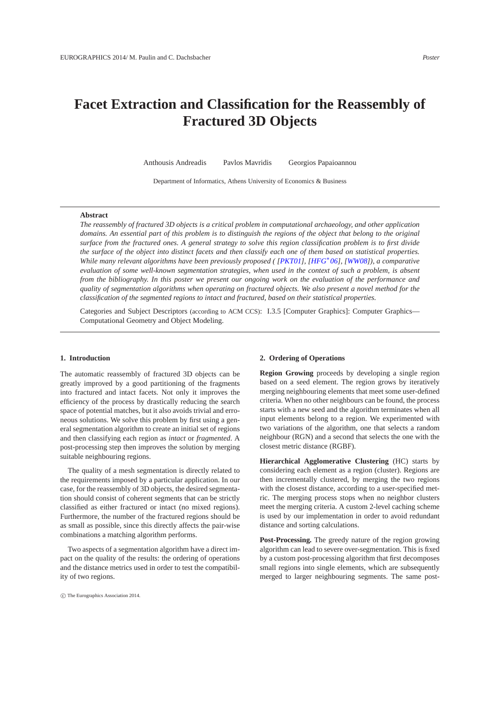# <span id="page-0-0"></span>**Facet Extraction and Classification for the Reassembly of Fractured 3D Objects**

Anthousis Andreadis Pavlos Mavridis Georgios Papaioannou

Department of Informatics, Athens University of Economics & Business

## **Abstract**

*The reassembly of fractured 3D objects is a critical problem in computational archaeology, and other application domains. An essential part of this problem is to distinguish the regions of the object that belong to the original surface from the fractured ones. A general strategy to solve this region classification problem is to first divide the surface of the object into distinct facets and then classify each one of them based on statistical properties. While many relevant algorithms have been previously proposed ( [\[PKT01\]](#page-1-0), [\[HFG](#page-1-1)*<sup>∗</sup> *06], [\[WW08\]](#page-1-2)), a comparative evaluation of some well-known segmentation strategies, when used in the context of such a problem, is absent from the bibliography. In this poster we present our ongoing work on the evaluation of the performance and quality of segmentation algorithms when operating on fractured objects. We also present a novel method for the classification of the segmented regions to intact and fractured, based on their statistical properties.*

Categories and Subject Descriptors (according to ACM CCS): I.3.5 [Computer Graphics]: Computer Graphics— Computational Geometry and Object Modeling.

#### **1. Introduction**

The automatic reassembly of fractured 3D objects can be greatly improved by a good partitioning of the fragments into fractured and intact facets. Not only it improves the efficiency of the process by drastically reducing the search space of potential matches, but it also avoids trivial and erroneous solutions. We solve this problem by first using a general segmentation algorithm to create an initial set of regions and then classifying each region as *intact* or *fragmented*. A post-processing step then improves the solution by merging suitable neighbouring regions.

The quality of a mesh segmentation is directly related to the requirements imposed by a particular application. In our case, for the reassembly of 3D objects, the desired segmentation should consist of coherent segments that can be strictly classified as either fractured or intact (no mixed regions). Furthermore, the number of the fractured regions should be as small as possible, since this directly affects the pair-wise combinations a matching algorithm performs.

Two aspects of a segmentation algorithm have a direct impact on the quality of the results: the ordering of operations and the distance metrics used in order to test the compatibility of two regions.

#### **2. Ordering of Operations**

**Region Growing** proceeds by developing a single region based on a seed element. The region grows by iteratively merging neighbouring elements that meet some user-defined criteria. When no other neighbours can be found, the process starts with a new seed and the algorithm terminates when all input elements belong to a region. We experimented with two variations of the algorithm, one that selects a random neighbour (RGN) and a second that selects the one with the closest metric distance (RGBF).

**Hierarchical Agglomerative Clustering** (HC) starts by considering each element as a region (cluster). Regions are then incrementally clustered, by merging the two regions with the closest distance, according to a user-specified metric. The merging process stops when no neighbor clusters meet the merging criteria. A custom 2-level caching scheme is used by our implementation in order to avoid redundant distance and sorting calculations.

**Post-Processing.** The greedy nature of the region growing algorithm can lead to severe over-segmentation. This is fixed by a custom post-processing algorithm that first decomposes small regions into single elements, which are subsequently merged to larger neighbouring segments. The same post-